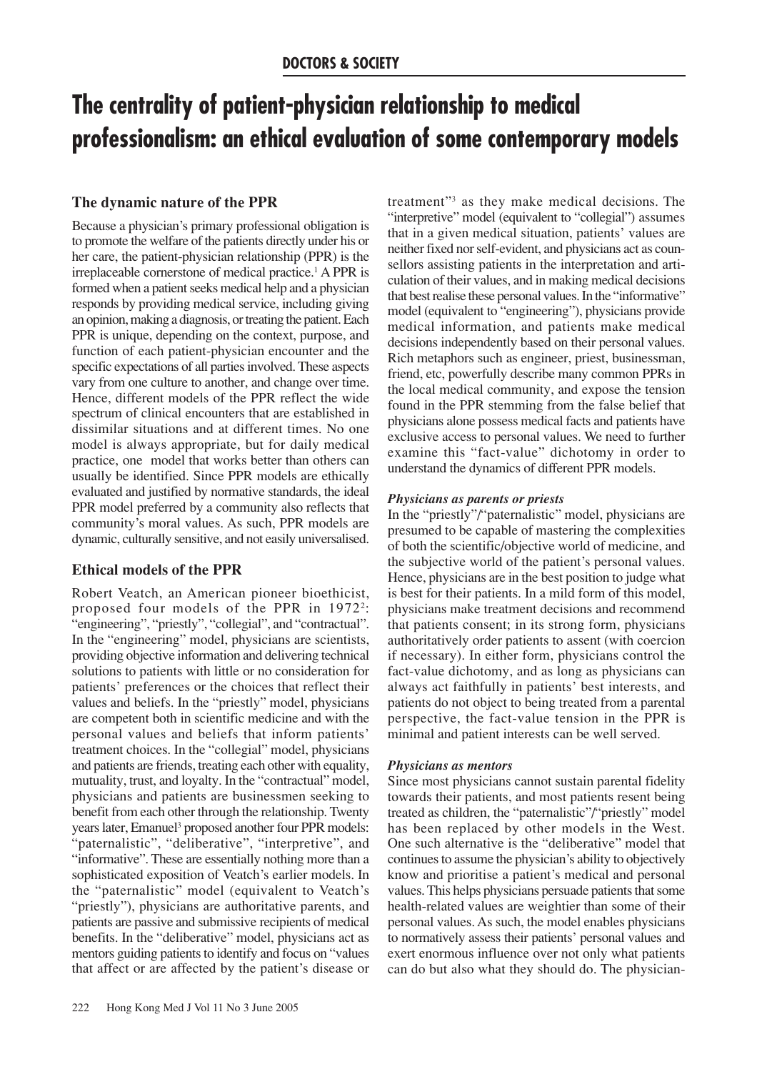# **The centrality of patient-physician relationship to medical professionalism: an ethical evaluation of some contemporary models**

# **The dynamic nature of the PPR**

Because a physician's primary professional obligation is to promote the welfare of the patients directly under his or her care, the patient-physician relationship (PPR) is the irreplaceable cornerstone of medical practice.1 A PPR is formed when a patient seeks medical help and a physician responds by providing medical service, including giving an opinion, making a diagnosis, or treating the patient. Each PPR is unique, depending on the context, purpose, and function of each patient-physician encounter and the specific expectations of all parties involved. These aspects vary from one culture to another, and change over time. Hence, different models of the PPR reflect the wide spectrum of clinical encounters that are established in dissimilar situations and at different times. No one model is always appropriate, but for daily medical practice, one model that works better than others can usually be identified. Since PPR models are ethically evaluated and justified by normative standards, the ideal PPR model preferred by a community also reflects that community's moral values. As such, PPR models are dynamic, culturally sensitive, and not easily universalised.

# **Ethical models of the PPR**

Robert Veatch, an American pioneer bioethicist, proposed four models of the PPR in 19722: "engineering", "priestly", "collegial", and "contractual". In the "engineering" model, physicians are scientists, providing objective information and delivering technical solutions to patients with little or no consideration for patients' preferences or the choices that reflect their values and beliefs. In the "priestly" model, physicians are competent both in scientific medicine and with the personal values and beliefs that inform patients' treatment choices. In the "collegial" model, physicians and patients are friends, treating each other with equality, mutuality, trust, and loyalty. In the "contractual" model, physicians and patients are businessmen seeking to benefit from each other through the relationship. Twenty years later, Emanuel<sup>3</sup> proposed another four PPR models: "paternalistic", "deliberative", "interpretive", and "informative". These are essentially nothing more than a sophisticated exposition of Veatch's earlier models. In the "paternalistic" model (equivalent to Veatch's "priestly"), physicians are authoritative parents, and patients are passive and submissive recipients of medical benefits. In the "deliberative" model, physicians act as mentors guiding patients to identify and focus on "values that affect or are affected by the patient's disease or treatment"3 as they make medical decisions. The "interpretive" model (equivalent to "collegial") assumes that in a given medical situation, patients' values are neither fixed nor self-evident, and physicians act as counsellors assisting patients in the interpretation and articulation of their values, and in making medical decisions that best realise these personal values. In the "informative" model (equivalent to "engineering"), physicians provide medical information, and patients make medical decisions independently based on their personal values. Rich metaphors such as engineer, priest, businessman, friend, etc, powerfully describe many common PPRs in the local medical community, and expose the tension found in the PPR stemming from the false belief that physicians alone possess medical facts and patients have exclusive access to personal values. We need to further examine this "fact-value" dichotomy in order to understand the dynamics of different PPR models.

## *Physicians as parents or priests*

In the "priestly"/"paternalistic" model, physicians are presumed to be capable of mastering the complexities of both the scientific/objective world of medicine, and the subjective world of the patient's personal values. Hence, physicians are in the best position to judge what is best for their patients. In a mild form of this model, physicians make treatment decisions and recommend that patients consent; in its strong form, physicians authoritatively order patients to assent (with coercion if necessary). In either form, physicians control the fact-value dichotomy, and as long as physicians can always act faithfully in patients' best interests, and patients do not object to being treated from a parental perspective, the fact-value tension in the PPR is minimal and patient interests can be well served.

## *Physicians as mentors*

Since most physicians cannot sustain parental fidelity towards their patients, and most patients resent being treated as children, the "paternalistic"/"priestly" model has been replaced by other models in the West. One such alternative is the "deliberative" model that continues to assume the physician's ability to objectively know and prioritise a patient's medical and personal values. This helps physicians persuade patients that some health-related values are weightier than some of their personal values. As such, the model enables physicians to normatively assess their patients' personal values and exert enormous influence over not only what patients can do but also what they should do. The physician